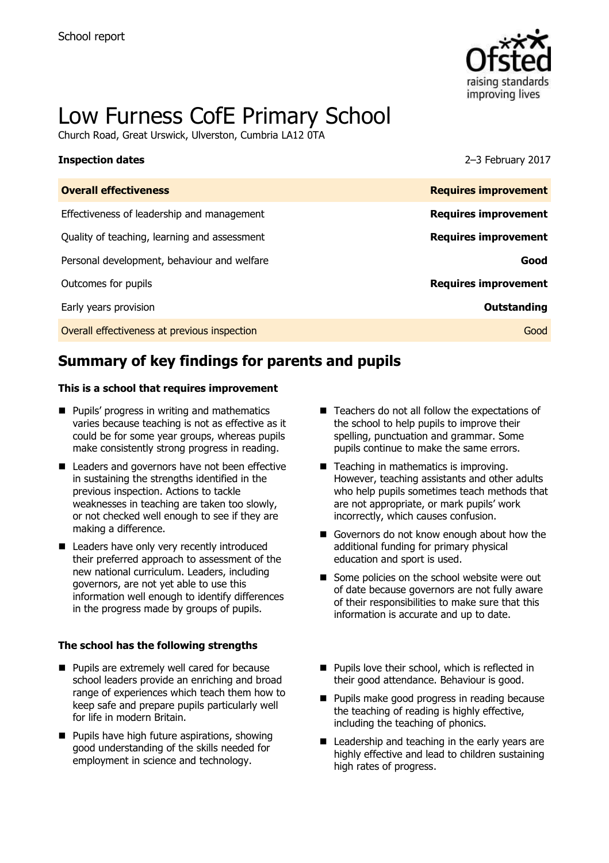

# Low Furness CofE Primary School

Church Road, Great Urswick, Ulverston, Cumbria LA12 0TA

### **Inspection dates** 2–3 February 2017

| <b>Overall effectiveness</b>                 | <b>Requires improvement</b> |
|----------------------------------------------|-----------------------------|
| Effectiveness of leadership and management   | <b>Requires improvement</b> |
| Quality of teaching, learning and assessment | <b>Requires improvement</b> |
| Personal development, behaviour and welfare  | Good                        |
| Outcomes for pupils                          | <b>Requires improvement</b> |
| Early years provision                        | Outstanding                 |
| Overall effectiveness at previous inspection | Good                        |
|                                              |                             |

# **Summary of key findings for parents and pupils**

### **This is a school that requires improvement**

- **Pupils' progress in writing and mathematics** varies because teaching is not as effective as it could be for some year groups, whereas pupils make consistently strong progress in reading.
- Leaders and governors have not been effective in sustaining the strengths identified in the previous inspection. Actions to tackle weaknesses in teaching are taken too slowly, or not checked well enough to see if they are making a difference.
- Leaders have only very recently introduced their preferred approach to assessment of the new national curriculum. Leaders, including governors, are not yet able to use this information well enough to identify differences in the progress made by groups of pupils.

### **The school has the following strengths**

- **Pupils are extremely well cared for because** school leaders provide an enriching and broad range of experiences which teach them how to keep safe and prepare pupils particularly well for life in modern Britain.
- $\blacksquare$  Pupils have high future aspirations, showing good understanding of the skills needed for employment in science and technology.
- $\blacksquare$  Teachers do not all follow the expectations of the school to help pupils to improve their spelling, punctuation and grammar. Some pupils continue to make the same errors.
- Teaching in mathematics is improving. However, teaching assistants and other adults who help pupils sometimes teach methods that are not appropriate, or mark pupils' work incorrectly, which causes confusion.
- Governors do not know enough about how the additional funding for primary physical education and sport is used.
- Some policies on the school website were out of date because governors are not fully aware of their responsibilities to make sure that this information is accurate and up to date.
- **Pupils love their school, which is reflected in** their good attendance. Behaviour is good.
- **Pupils make good progress in reading because** the teaching of reading is highly effective, including the teaching of phonics.
- Leadership and teaching in the early years are highly effective and lead to children sustaining high rates of progress.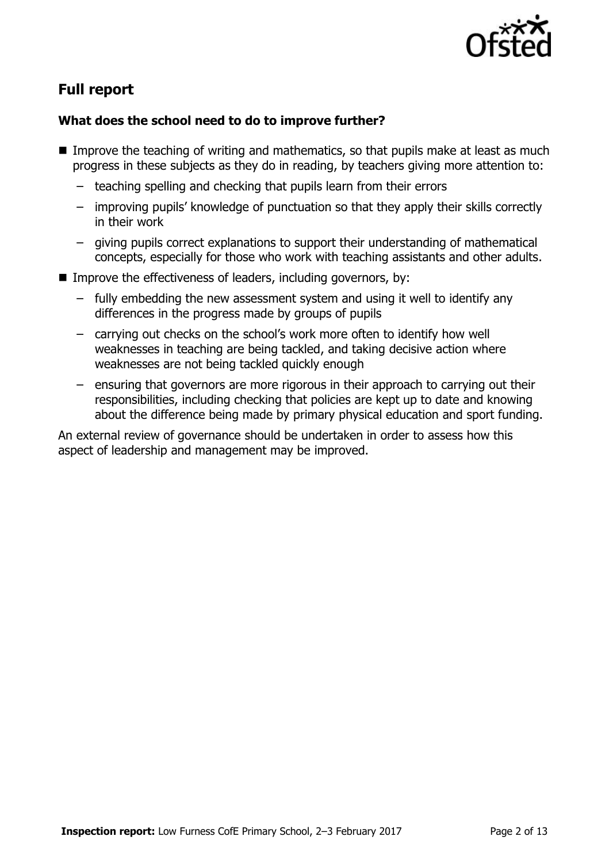

# **Full report**

# **What does the school need to do to improve further?**

- Improve the teaching of writing and mathematics, so that pupils make at least as much progress in these subjects as they do in reading, by teachers giving more attention to:
	- teaching spelling and checking that pupils learn from their errors
	- improving pupils' knowledge of punctuation so that they apply their skills correctly in their work
	- giving pupils correct explanations to support their understanding of mathematical concepts, especially for those who work with teaching assistants and other adults.
- Improve the effectiveness of leaders, including governors, by:
	- fully embedding the new assessment system and using it well to identify any differences in the progress made by groups of pupils
	- carrying out checks on the school's work more often to identify how well weaknesses in teaching are being tackled, and taking decisive action where weaknesses are not being tackled quickly enough
	- ensuring that governors are more rigorous in their approach to carrying out their responsibilities, including checking that policies are kept up to date and knowing about the difference being made by primary physical education and sport funding.

An external review of governance should be undertaken in order to assess how this aspect of leadership and management may be improved.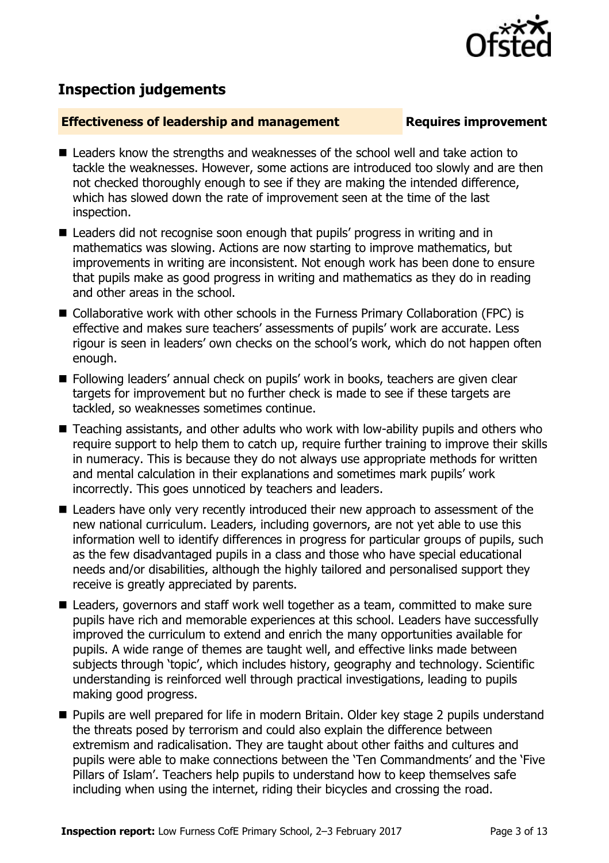

# **Inspection judgements**

# **Effectiveness of leadership and management Requires improvement**

- Leaders know the strengths and weaknesses of the school well and take action to tackle the weaknesses. However, some actions are introduced too slowly and are then not checked thoroughly enough to see if they are making the intended difference, which has slowed down the rate of improvement seen at the time of the last inspection.
- Leaders did not recognise soon enough that pupils' progress in writing and in mathematics was slowing. Actions are now starting to improve mathematics, but improvements in writing are inconsistent. Not enough work has been done to ensure that pupils make as good progress in writing and mathematics as they do in reading and other areas in the school.
- Collaborative work with other schools in the Furness Primary Collaboration (FPC) is effective and makes sure teachers' assessments of pupils' work are accurate. Less rigour is seen in leaders' own checks on the school's work, which do not happen often enough.
- Following leaders' annual check on pupils' work in books, teachers are given clear targets for improvement but no further check is made to see if these targets are tackled, so weaknesses sometimes continue.
- Teaching assistants, and other adults who work with low-ability pupils and others who require support to help them to catch up, require further training to improve their skills in numeracy. This is because they do not always use appropriate methods for written and mental calculation in their explanations and sometimes mark pupils' work incorrectly. This goes unnoticed by teachers and leaders.
- Leaders have only very recently introduced their new approach to assessment of the new national curriculum. Leaders, including governors, are not yet able to use this information well to identify differences in progress for particular groups of pupils, such as the few disadvantaged pupils in a class and those who have special educational needs and/or disabilities, although the highly tailored and personalised support they receive is greatly appreciated by parents.
- Leaders, governors and staff work well together as a team, committed to make sure pupils have rich and memorable experiences at this school. Leaders have successfully improved the curriculum to extend and enrich the many opportunities available for pupils. A wide range of themes are taught well, and effective links made between subjects through 'topic', which includes history, geography and technology. Scientific understanding is reinforced well through practical investigations, leading to pupils making good progress.
- Pupils are well prepared for life in modern Britain. Older key stage 2 pupils understand the threats posed by terrorism and could also explain the difference between extremism and radicalisation. They are taught about other faiths and cultures and pupils were able to make connections between the 'Ten Commandments' and the 'Five Pillars of Islam'. Teachers help pupils to understand how to keep themselves safe including when using the internet, riding their bicycles and crossing the road.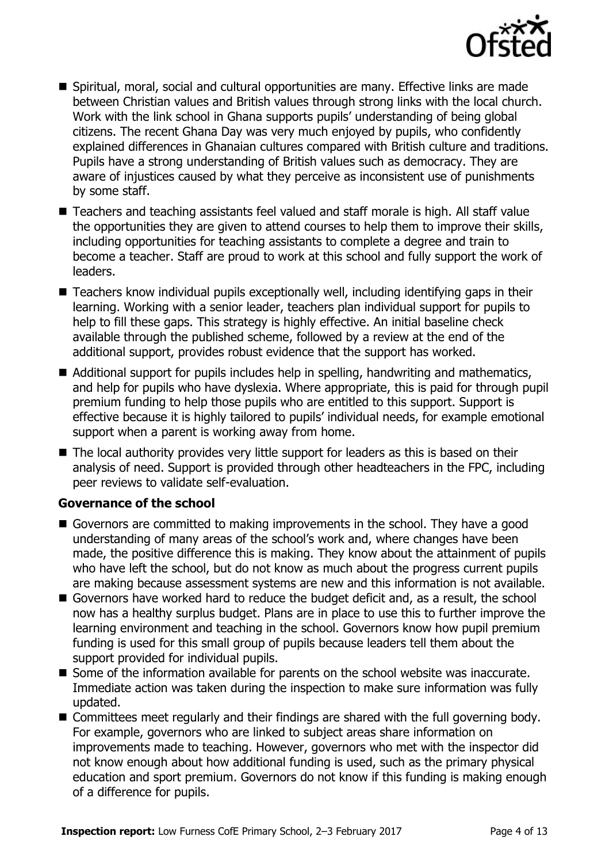

- Spiritual, moral, social and cultural opportunities are many. Effective links are made between Christian values and British values through strong links with the local church. Work with the link school in Ghana supports pupils' understanding of being global citizens. The recent Ghana Day was very much enjoyed by pupils, who confidently explained differences in Ghanaian cultures compared with British culture and traditions. Pupils have a strong understanding of British values such as democracy. They are aware of injustices caused by what they perceive as inconsistent use of punishments by some staff.
- Teachers and teaching assistants feel valued and staff morale is high. All staff value the opportunities they are given to attend courses to help them to improve their skills, including opportunities for teaching assistants to complete a degree and train to become a teacher. Staff are proud to work at this school and fully support the work of leaders.
- Teachers know individual pupils exceptionally well, including identifying gaps in their learning. Working with a senior leader, teachers plan individual support for pupils to help to fill these gaps. This strategy is highly effective. An initial baseline check available through the published scheme, followed by a review at the end of the additional support, provides robust evidence that the support has worked.
- Additional support for pupils includes help in spelling, handwriting and mathematics, and help for pupils who have dyslexia. Where appropriate, this is paid for through pupil premium funding to help those pupils who are entitled to this support. Support is effective because it is highly tailored to pupils' individual needs, for example emotional support when a parent is working away from home.
- The local authority provides very little support for leaders as this is based on their analysis of need. Support is provided through other headteachers in the FPC, including peer reviews to validate self-evaluation.

# **Governance of the school**

- Governors are committed to making improvements in the school. They have a good understanding of many areas of the school's work and, where changes have been made, the positive difference this is making. They know about the attainment of pupils who have left the school, but do not know as much about the progress current pupils are making because assessment systems are new and this information is not available.
- Governors have worked hard to reduce the budget deficit and, as a result, the school now has a healthy surplus budget. Plans are in place to use this to further improve the learning environment and teaching in the school. Governors know how pupil premium funding is used for this small group of pupils because leaders tell them about the support provided for individual pupils.
- Some of the information available for parents on the school website was inaccurate. Immediate action was taken during the inspection to make sure information was fully updated.
- Committees meet regularly and their findings are shared with the full governing body. For example, governors who are linked to subject areas share information on improvements made to teaching. However, governors who met with the inspector did not know enough about how additional funding is used, such as the primary physical education and sport premium. Governors do not know if this funding is making enough of a difference for pupils.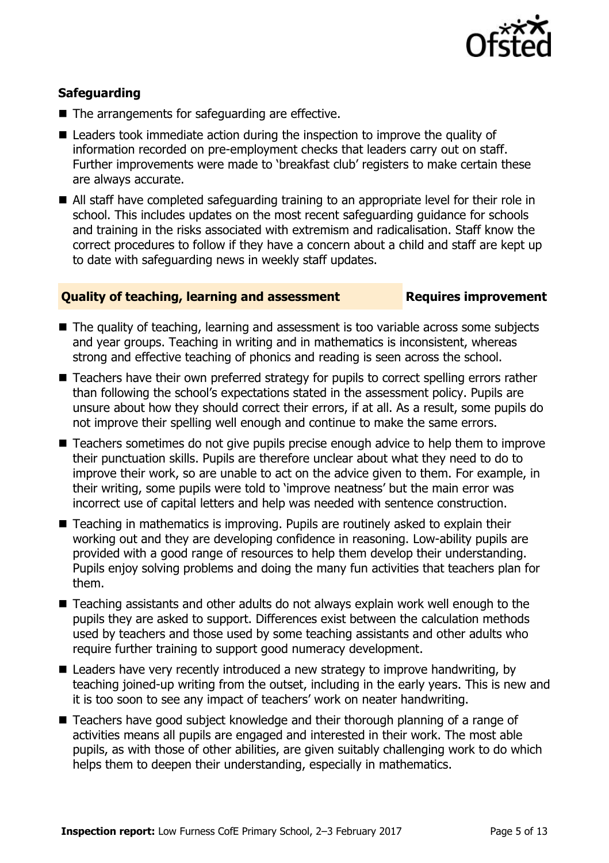

# **Safeguarding**

- $\blacksquare$  The arrangements for safeguarding are effective.
- Leaders took immediate action during the inspection to improve the quality of information recorded on pre-employment checks that leaders carry out on staff. Further improvements were made to 'breakfast club' registers to make certain these are always accurate.
- All staff have completed safeguarding training to an appropriate level for their role in school. This includes updates on the most recent safeguarding guidance for schools and training in the risks associated with extremism and radicalisation. Staff know the correct procedures to follow if they have a concern about a child and staff are kept up to date with safeguarding news in weekly staff updates.

# **Quality of teaching, learning and assessment Fig. 2.1 Requires improvement**

- The quality of teaching, learning and assessment is too variable across some subjects and year groups. Teaching in writing and in mathematics is inconsistent, whereas strong and effective teaching of phonics and reading is seen across the school.
- Teachers have their own preferred strategy for pupils to correct spelling errors rather than following the school's expectations stated in the assessment policy. Pupils are unsure about how they should correct their errors, if at all. As a result, some pupils do not improve their spelling well enough and continue to make the same errors.
- Teachers sometimes do not give pupils precise enough advice to help them to improve their punctuation skills. Pupils are therefore unclear about what they need to do to improve their work, so are unable to act on the advice given to them. For example, in their writing, some pupils were told to 'improve neatness' but the main error was incorrect use of capital letters and help was needed with sentence construction.
- Teaching in mathematics is improving. Pupils are routinely asked to explain their working out and they are developing confidence in reasoning. Low-ability pupils are provided with a good range of resources to help them develop their understanding. Pupils enjoy solving problems and doing the many fun activities that teachers plan for them.
- Teaching assistants and other adults do not always explain work well enough to the pupils they are asked to support. Differences exist between the calculation methods used by teachers and those used by some teaching assistants and other adults who require further training to support good numeracy development.
- Leaders have very recently introduced a new strategy to improve handwriting, by teaching joined-up writing from the outset, including in the early years. This is new and it is too soon to see any impact of teachers' work on neater handwriting.
- Teachers have good subject knowledge and their thorough planning of a range of activities means all pupils are engaged and interested in their work. The most able pupils, as with those of other abilities, are given suitably challenging work to do which helps them to deepen their understanding, especially in mathematics.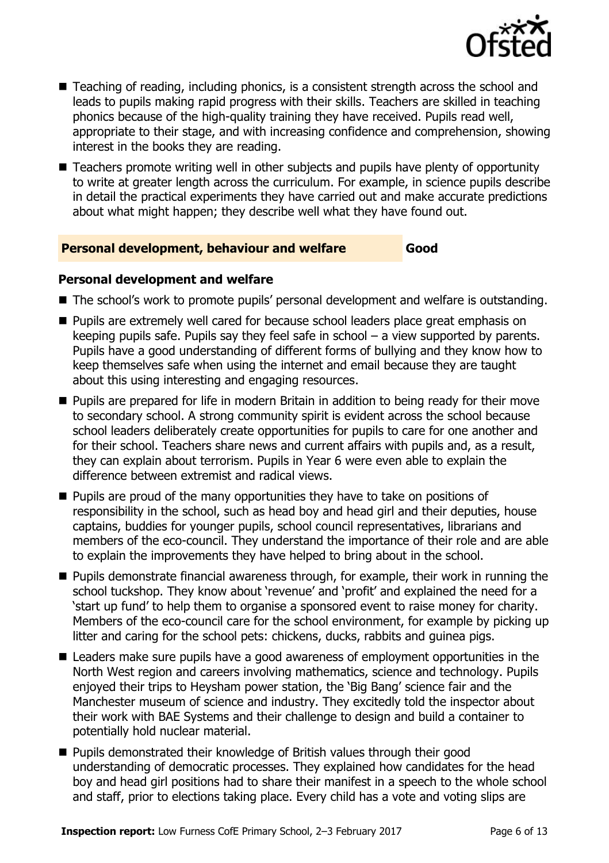

- Teaching of reading, including phonics, is a consistent strength across the school and leads to pupils making rapid progress with their skills. Teachers are skilled in teaching phonics because of the high-quality training they have received. Pupils read well, appropriate to their stage, and with increasing confidence and comprehension, showing interest in the books they are reading.
- Teachers promote writing well in other subjects and pupils have plenty of opportunity to write at greater length across the curriculum. For example, in science pupils describe in detail the practical experiments they have carried out and make accurate predictions about what might happen; they describe well what they have found out.

# **Personal development, behaviour and welfare Good**

# **Personal development and welfare**

- The school's work to promote pupils' personal development and welfare is outstanding.
- **Pupils are extremely well cared for because school leaders place great emphasis on** keeping pupils safe. Pupils say they feel safe in school – a view supported by parents. Pupils have a good understanding of different forms of bullying and they know how to keep themselves safe when using the internet and email because they are taught about this using interesting and engaging resources.
- **Pupils are prepared for life in modern Britain in addition to being ready for their move** to secondary school. A strong community spirit is evident across the school because school leaders deliberately create opportunities for pupils to care for one another and for their school. Teachers share news and current affairs with pupils and, as a result, they can explain about terrorism. Pupils in Year 6 were even able to explain the difference between extremist and radical views.
- **Pupils are proud of the many opportunities they have to take on positions of** responsibility in the school, such as head boy and head girl and their deputies, house captains, buddies for younger pupils, school council representatives, librarians and members of the eco-council. They understand the importance of their role and are able to explain the improvements they have helped to bring about in the school.
- **Pupils demonstrate financial awareness through, for example, their work in running the** school tuckshop. They know about 'revenue' and 'profit' and explained the need for a 'start up fund' to help them to organise a sponsored event to raise money for charity. Members of the eco-council care for the school environment, for example by picking up litter and caring for the school pets: chickens, ducks, rabbits and guinea pigs.
- Leaders make sure pupils have a good awareness of employment opportunities in the North West region and careers involving mathematics, science and technology. Pupils enjoyed their trips to Heysham power station, the 'Big Bang' science fair and the Manchester museum of science and industry. They excitedly told the inspector about their work with BAE Systems and their challenge to design and build a container to potentially hold nuclear material.
- Pupils demonstrated their knowledge of British values through their good understanding of democratic processes. They explained how candidates for the head boy and head girl positions had to share their manifest in a speech to the whole school and staff, prior to elections taking place. Every child has a vote and voting slips are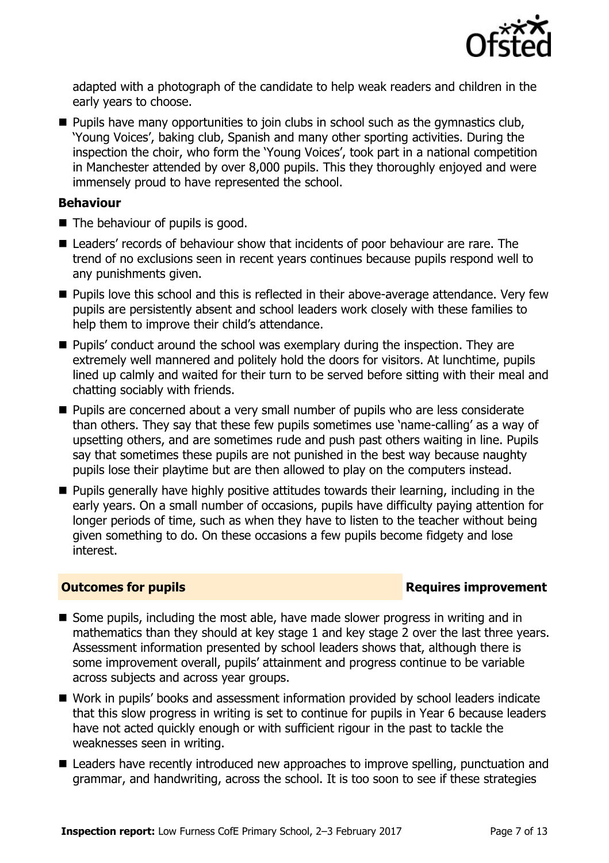

adapted with a photograph of the candidate to help weak readers and children in the early years to choose.

**Pupils have many opportunities to join clubs in school such as the gymnastics club,** 'Young Voices', baking club, Spanish and many other sporting activities. During the inspection the choir, who form the 'Young Voices', took part in a national competition in Manchester attended by over 8,000 pupils. This they thoroughly enjoyed and were immensely proud to have represented the school.

# **Behaviour**

- The behaviour of pupils is good.
- Leaders' records of behaviour show that incidents of poor behaviour are rare. The trend of no exclusions seen in recent years continues because pupils respond well to any punishments given.
- **Pupils love this school and this is reflected in their above-average attendance. Very few** pupils are persistently absent and school leaders work closely with these families to help them to improve their child's attendance.
- **Pupils'** conduct around the school was exemplary during the inspection. They are extremely well mannered and politely hold the doors for visitors. At lunchtime, pupils lined up calmly and waited for their turn to be served before sitting with their meal and chatting sociably with friends.
- **Pupils are concerned about a very small number of pupils who are less considerate** than others. They say that these few pupils sometimes use 'name-calling' as a way of upsetting others, and are sometimes rude and push past others waiting in line. Pupils say that sometimes these pupils are not punished in the best way because naughty pupils lose their playtime but are then allowed to play on the computers instead.
- **Pupils generally have highly positive attitudes towards their learning, including in the** early years. On a small number of occasions, pupils have difficulty paying attention for longer periods of time, such as when they have to listen to the teacher without being given something to do. On these occasions a few pupils become fidgety and lose interest.

# **Outcomes for pupils Requires improvement**

- Some pupils, including the most able, have made slower progress in writing and in mathematics than they should at key stage 1 and key stage 2 over the last three years. Assessment information presented by school leaders shows that, although there is some improvement overall, pupils' attainment and progress continue to be variable across subjects and across year groups.
- Work in pupils' books and assessment information provided by school leaders indicate that this slow progress in writing is set to continue for pupils in Year 6 because leaders have not acted quickly enough or with sufficient rigour in the past to tackle the weaknesses seen in writing.
- Leaders have recently introduced new approaches to improve spelling, punctuation and grammar, and handwriting, across the school. It is too soon to see if these strategies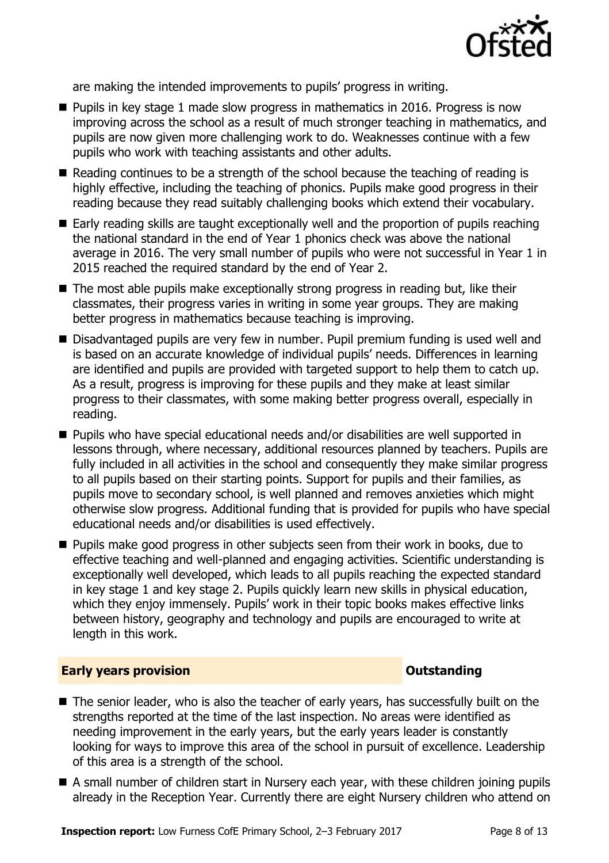

are making the intended improvements to pupils' progress in writing.

- $\blacksquare$  Pupils in key stage 1 made slow progress in mathematics in 2016. Progress is now improving across the school as a result of much stronger teaching in mathematics, and pupils are now given more challenging work to do. Weaknesses continue with a few pupils who work with teaching assistants and other adults.
- Reading continues to be a strength of the school because the teaching of reading is highly effective, including the teaching of phonics. Pupils make good progress in their reading because they read suitably challenging books which extend their vocabulary.
- Early reading skills are taught exceptionally well and the proportion of pupils reaching the national standard in the end of Year 1 phonics check was above the national average in 2016. The very small number of pupils who were not successful in Year 1 in 2015 reached the required standard by the end of Year 2.
- The most able pupils make exceptionally strong progress in reading but, like their classmates, their progress varies in writing in some year groups. They are making better progress in mathematics because teaching is improving.
- Disadvantaged pupils are very few in number. Pupil premium funding is used well and is based on an accurate knowledge of individual pupils' needs. Differences in learning are identified and pupils are provided with targeted support to help them to catch up. As a result, progress is improving for these pupils and they make at least similar progress to their classmates, with some making better progress overall, especially in reading.
- Pupils who have special educational needs and/or disabilities are well supported in lessons through, where necessary, additional resources planned by teachers. Pupils are fully included in all activities in the school and consequently they make similar progress to all pupils based on their starting points. Support for pupils and their families, as pupils move to secondary school, is well planned and removes anxieties which might otherwise slow progress. Additional funding that is provided for pupils who have special educational needs and/or disabilities is used effectively.
- **Pupils make good progress in other subjects seen from their work in books, due to** effective teaching and well-planned and engaging activities. Scientific understanding is exceptionally well developed, which leads to all pupils reaching the expected standard in key stage 1 and key stage 2. Pupils quickly learn new skills in physical education, which they enjoy immensely. Pupils' work in their topic books makes effective links between history, geography and technology and pupils are encouraged to write at length in this work.

# **Early years provision CONSTANDING TO A RESEARCH CONSTANDING TO A RESEARCH CONSTANDING TO A RESEARCH CONSTANDING TO A RESEARCH CONSTANDING TO A RESEARCH CONSTANDING TO A RESEARCH CONSTANDING TO A RESEARCH CONSTANDING TO**

- The senior leader, who is also the teacher of early years, has successfully built on the strengths reported at the time of the last inspection. No areas were identified as needing improvement in the early years, but the early years leader is constantly looking for ways to improve this area of the school in pursuit of excellence. Leadership of this area is a strength of the school.
- A small number of children start in Nursery each year, with these children joining pupils already in the Reception Year. Currently there are eight Nursery children who attend on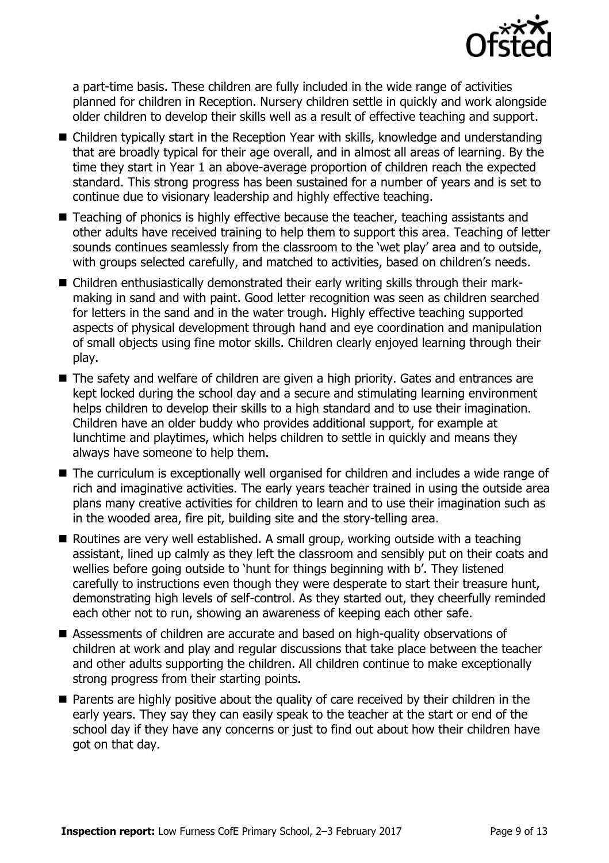

a part-time basis. These children are fully included in the wide range of activities planned for children in Reception. Nursery children settle in quickly and work alongside older children to develop their skills well as a result of effective teaching and support.

- Children typically start in the Reception Year with skills, knowledge and understanding that are broadly typical for their age overall, and in almost all areas of learning. By the time they start in Year 1 an above-average proportion of children reach the expected standard. This strong progress has been sustained for a number of years and is set to continue due to visionary leadership and highly effective teaching.
- Teaching of phonics is highly effective because the teacher, teaching assistants and other adults have received training to help them to support this area. Teaching of letter sounds continues seamlessly from the classroom to the 'wet play' area and to outside, with groups selected carefully, and matched to activities, based on children's needs.
- Children enthusiastically demonstrated their early writing skills through their markmaking in sand and with paint. Good letter recognition was seen as children searched for letters in the sand and in the water trough. Highly effective teaching supported aspects of physical development through hand and eye coordination and manipulation of small objects using fine motor skills. Children clearly enjoyed learning through their play.
- The safety and welfare of children are given a high priority. Gates and entrances are kept locked during the school day and a secure and stimulating learning environment helps children to develop their skills to a high standard and to use their imagination. Children have an older buddy who provides additional support, for example at lunchtime and playtimes, which helps children to settle in quickly and means they always have someone to help them.
- The curriculum is exceptionally well organised for children and includes a wide range of rich and imaginative activities. The early years teacher trained in using the outside area plans many creative activities for children to learn and to use their imagination such as in the wooded area, fire pit, building site and the story-telling area.
- Routines are very well established. A small group, working outside with a teaching assistant, lined up calmly as they left the classroom and sensibly put on their coats and wellies before going outside to 'hunt for things beginning with b'. They listened carefully to instructions even though they were desperate to start their treasure hunt, demonstrating high levels of self-control. As they started out, they cheerfully reminded each other not to run, showing an awareness of keeping each other safe.
- Assessments of children are accurate and based on high-quality observations of children at work and play and regular discussions that take place between the teacher and other adults supporting the children. All children continue to make exceptionally strong progress from their starting points.
- **Parents are highly positive about the quality of care received by their children in the** early years. They say they can easily speak to the teacher at the start or end of the school day if they have any concerns or just to find out about how their children have got on that day.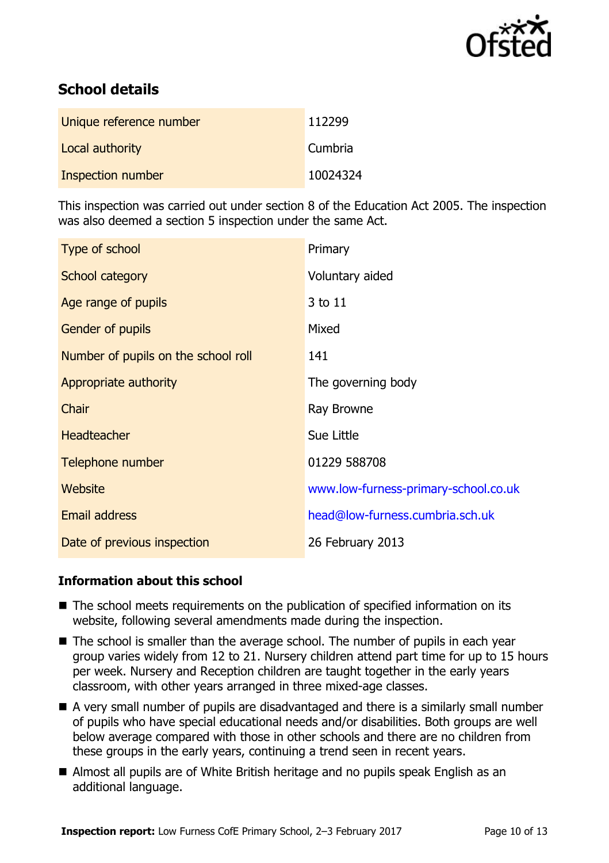

# **School details**

| Unique reference number | 112299   |
|-------------------------|----------|
| Local authority         | Cumbria  |
| Inspection number       | 10024324 |

This inspection was carried out under section 8 of the Education Act 2005. The inspection was also deemed a section 5 inspection under the same Act.

| Type of school                      | Primary                              |
|-------------------------------------|--------------------------------------|
| School category                     | Voluntary aided                      |
| Age range of pupils                 | 3 to 11                              |
| <b>Gender of pupils</b>             | Mixed                                |
| Number of pupils on the school roll | 141                                  |
| Appropriate authority               | The governing body                   |
| Chair                               | Ray Browne                           |
| <b>Headteacher</b>                  | Sue Little                           |
| Telephone number                    | 01229 588708                         |
| Website                             | www.low-furness-primary-school.co.uk |
| <b>Email address</b>                | head@low-furness.cumbria.sch.uk      |
| Date of previous inspection         | 26 February 2013                     |

# **Information about this school**

- The school meets requirements on the publication of specified information on its website, following several amendments made during the inspection.
- The school is smaller than the average school. The number of pupils in each year group varies widely from 12 to 21. Nursery children attend part time for up to 15 hours per week. Nursery and Reception children are taught together in the early years classroom, with other years arranged in three mixed-age classes.
- A very small number of pupils are disadvantaged and there is a similarly small number of pupils who have special educational needs and/or disabilities. Both groups are well below average compared with those in other schools and there are no children from these groups in the early years, continuing a trend seen in recent years.
- Almost all pupils are of White British heritage and no pupils speak English as an additional language.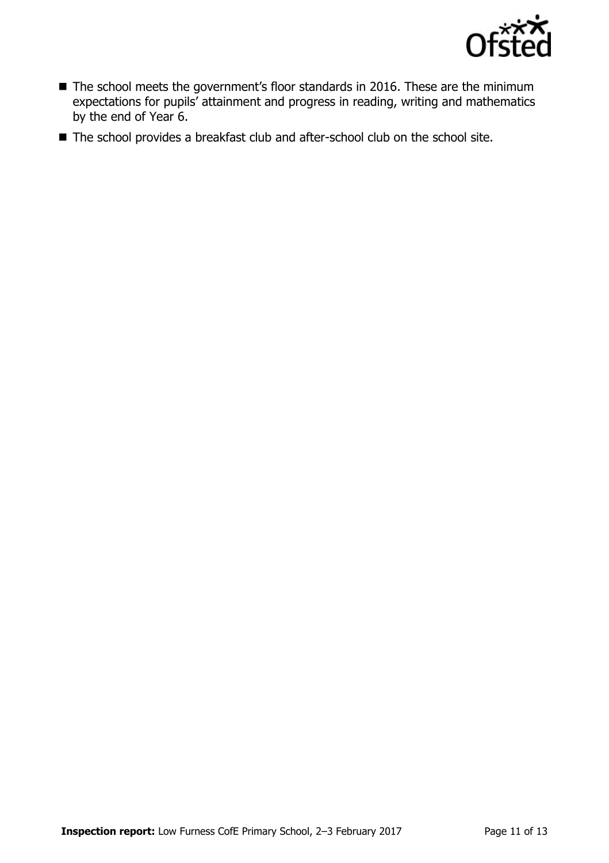

- The school meets the government's floor standards in 2016. These are the minimum expectations for pupils' attainment and progress in reading, writing and mathematics by the end of Year 6.
- The school provides a breakfast club and after-school club on the school site.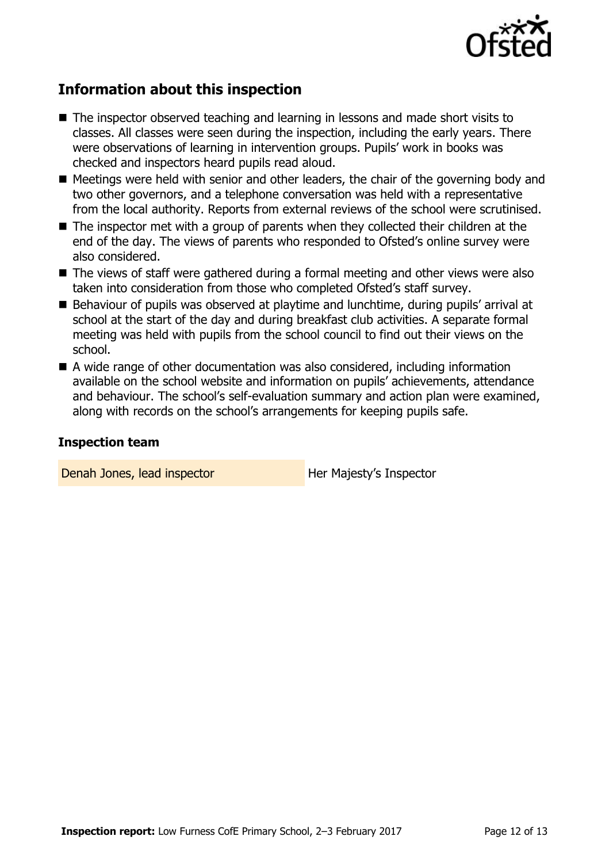

# **Information about this inspection**

- The inspector observed teaching and learning in lessons and made short visits to classes. All classes were seen during the inspection, including the early years. There were observations of learning in intervention groups. Pupils' work in books was checked and inspectors heard pupils read aloud.
- Meetings were held with senior and other leaders, the chair of the governing body and two other governors, and a telephone conversation was held with a representative from the local authority. Reports from external reviews of the school were scrutinised.
- The inspector met with a group of parents when they collected their children at the end of the day. The views of parents who responded to Ofsted's online survey were also considered.
- The views of staff were gathered during a formal meeting and other views were also taken into consideration from those who completed Ofsted's staff survey.
- Behaviour of pupils was observed at playtime and lunchtime, during pupils' arrival at school at the start of the day and during breakfast club activities. A separate formal meeting was held with pupils from the school council to find out their views on the school.
- A wide range of other documentation was also considered, including information available on the school website and information on pupils' achievements, attendance and behaviour. The school's self-evaluation summary and action plan were examined, along with records on the school's arrangements for keeping pupils safe.

# **Inspection team**

Denah Jones, lead inspector **Her Majesty's Inspector**